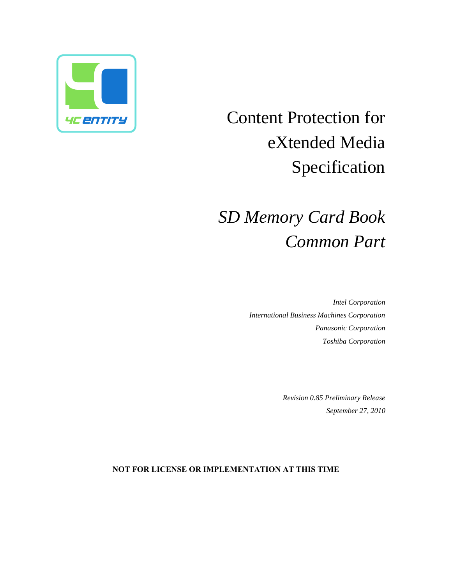

# Content Protection for eXtended Media Specification

# *SD Memory Card Book Common Part*

*Intel Corporation International Business Machines Corporation Panasonic Corporation Toshiba Corporation*

> *Revision 0.85 Preliminary Release September 27, 2010*

#### **NOT FOR LICENSE OR IMPLEMENTATION AT THIS TIME**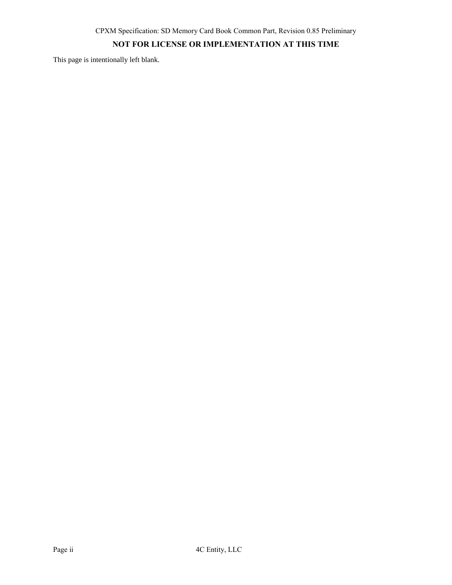This page is intentionally left blank.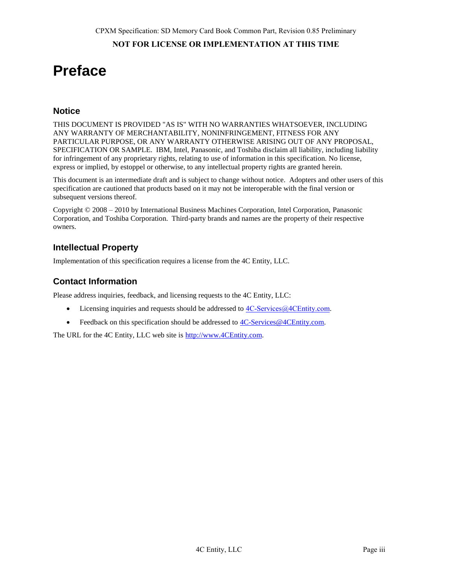## **Preface**

#### **Notice**

THIS DOCUMENT IS PROVIDED "AS IS" WITH NO WARRANTIES WHATSOEVER, INCLUDING ANY WARRANTY OF MERCHANTABILITY, NONINFRINGEMENT, FITNESS FOR ANY PARTICULAR PURPOSE, OR ANY WARRANTY OTHERWISE ARISING OUT OF ANY PROPOSAL, SPECIFICATION OR SAMPLE. IBM, Intel, Panasonic, and Toshiba disclaim all liability, including liability for infringement of any proprietary rights, relating to use of information in this specification. No license, express or implied, by estoppel or otherwise, to any intellectual property rights are granted herein.

This document is an intermediate draft and is subject to change without notice. Adopters and other users of this specification are cautioned that products based on it may not be interoperable with the final version or subsequent versions thereof.

Copyright © 2008 – 2010 by International Business Machines Corporation, Intel Corporation, Panasonic Corporation, and Toshiba Corporation. Third-party brands and names are the property of their respective owners.

## **Intellectual Property**

Implementation of this specification requires a license from the 4C Entity, LLC.

## **Contact Information**

Please address inquiries, feedback, and licensing requests to the 4C Entity, LLC:

- Licensing inquiries and requests should be addressed to  $4C$ -Services $@$  4CEntity.com.
- Feedback on this specification should be addressed to  $4C$ -Services @4CEntity.com.

The URL for the 4C Entity, LLC web site is [http://www.4CEntity.com.](http://www.4centity.com/)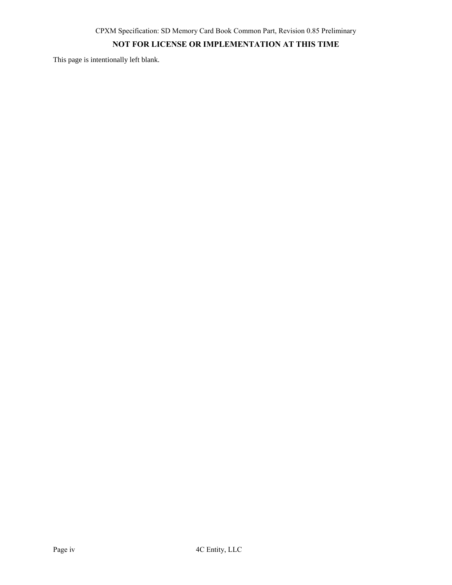This page is intentionally left blank.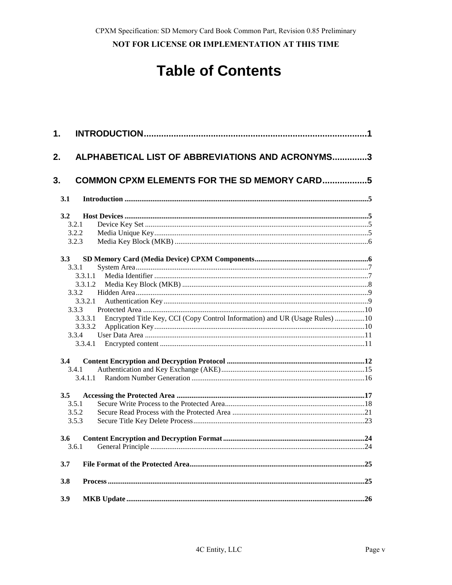## **Table of Contents**

| $\mathbf 1$ .                                                                          |  |
|----------------------------------------------------------------------------------------|--|
| ALPHABETICAL LIST OF ABBREVIATIONS AND ACRONYMS3<br>2.                                 |  |
| 3.<br><b>COMMON CPXM ELEMENTS FOR THE SD MEMORY CARD5</b>                              |  |
| 3.1                                                                                    |  |
| 3.2                                                                                    |  |
| 3.2.1                                                                                  |  |
| 3.2.2                                                                                  |  |
| 3.2.3                                                                                  |  |
| 3.3                                                                                    |  |
| 3.3.1                                                                                  |  |
| 3.3.1.1                                                                                |  |
| 3.3.1.2                                                                                |  |
| 3.3.2                                                                                  |  |
| 3.3.2.1                                                                                |  |
| 3.3.3                                                                                  |  |
| Encrypted Title Key, CCI (Copy Control Information) and UR (Usage Rules) 10<br>3.3.3.1 |  |
| 3.3.3.2                                                                                |  |
| 3.3.4                                                                                  |  |
| 3.3.4.1                                                                                |  |
| 3.4                                                                                    |  |
| 3.4.1                                                                                  |  |
| 3.4.1.1                                                                                |  |
| 3.5                                                                                    |  |
| 3.5.1                                                                                  |  |
| 3.5.2                                                                                  |  |
| 3.5.3                                                                                  |  |
| 3.6                                                                                    |  |
| 3.6.1                                                                                  |  |
| 3.7                                                                                    |  |
| 3.8                                                                                    |  |
| 3.9                                                                                    |  |
|                                                                                        |  |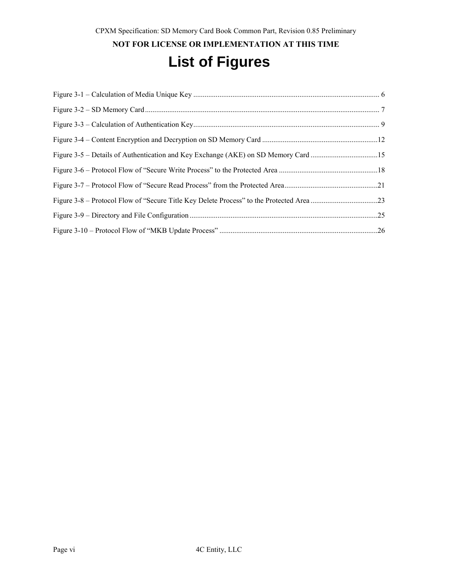CPXM Specification: SD Memory Card Book Common Part, Revision 0.85 Preliminary **NOT FOR LICENSE OR IMPLEMENTATION AT THIS TIME**

## **List of Figures**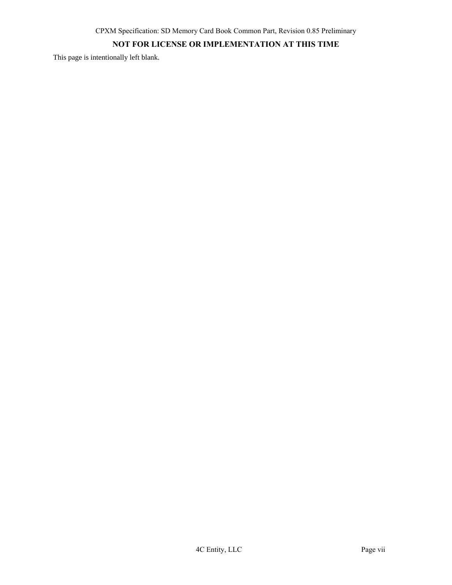This page is intentionally left blank.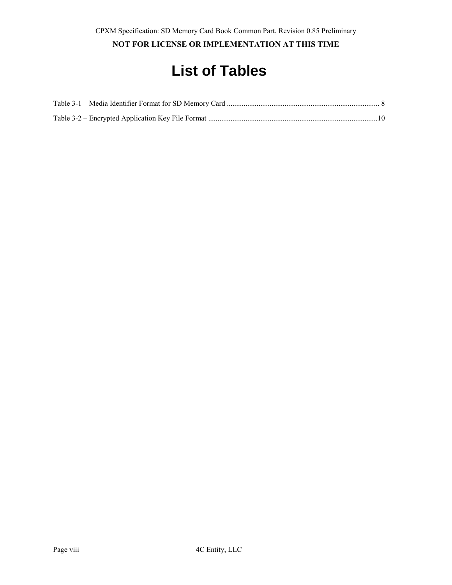## **List of Tables**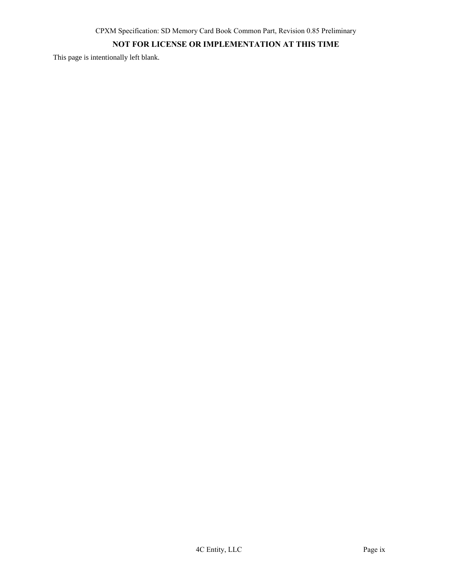This page is intentionally left blank.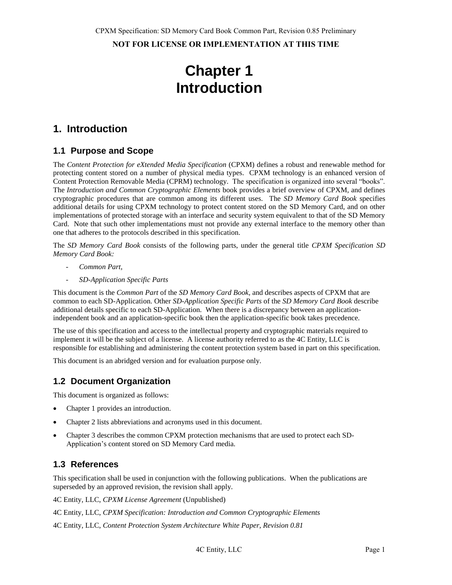## **Chapter 1 Introduction**

## <span id="page-10-0"></span>**1. Introduction**

## **1.1 Purpose and Scope**

The *Content Protection for eXtended Media Specification* (CPXM) defines a robust and renewable method for protecting content stored on a number of physical media types. CPXM technology is an enhanced version of Content Protection Removable Media (CPRM) technology. The specification is organized into several "books". The *Introduction and Common Cryptographic Elements* book provides a brief overview of CPXM, and defines cryptographic procedures that are common among its different uses. The *SD Memory Card Book* specifies additional details for using CPXM technology to protect content stored on the SD Memory Card, and on other implementations of protected storage with an interface and security system equivalent to that of the SD Memory Card. Note that such other implementations must not provide any external interface to the memory other than one that adheres to the protocols described in this specification.

The *SD Memory Card Book* consists of the following parts, under the general title *CPXM Specification SD Memory Card Book:*

- *Common Part,*
- *SD-Application Specific Parts*

This document is the *Common Part* of the *SD Memory Card Book,* and describes aspects of CPXM that are common to each SD-Application. Other *SD-Application Specific Parts* of the *SD Memory Card Book* describe additional details specific to each SD-Application. When there is a discrepancy between an applicationindependent book and an application-specific book then the application-specific book takes precedence.

The use of this specification and access to the intellectual property and cryptographic materials required to implement it will be the subject of a license. A license authority referred to as the 4C Entity, LLC is responsible for establishing and administering the content protection system based in part on this specification.

This document is an abridged version and for evaluation purpose only.

## **1.2 Document Organization**

This document is organized as follows:

- Chapter 1 provides an introduction.
- Chapter 2 lists abbreviations and acronyms used in this document.
- Chapter 3 describes the common CPXM protection mechanisms that are used to protect each SD-Application"s content stored on SD Memory Card media.

#### <span id="page-10-1"></span>**1.3 References**

This specification shall be used in conjunction with the following publications. When the publications are superseded by an approved revision, the revision shall apply.

4C Entity, LLC, *CPXM License Agreement* (Unpublished)

4C Entity, LLC, *CPXM Specification: Introduction and Common Cryptographic Elements*

4C Entity, LLC, *Content Protection System Architecture White Paper, Revision 0.81*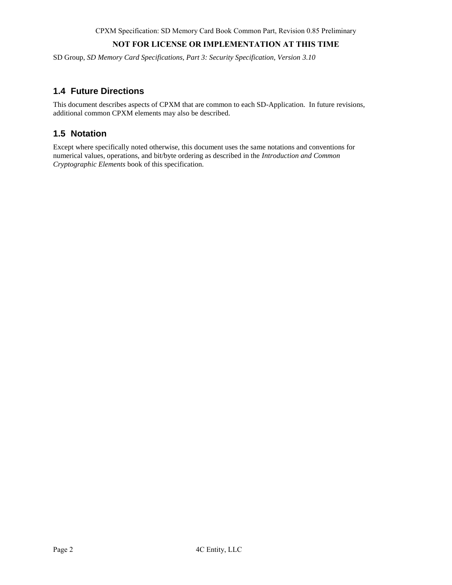SD Group, *SD Memory Card Specifications, Part 3: Security Specification, Version 3.10*

## **1.4 Future Directions**

This document describes aspects of CPXM that are common to each SD-Application. In future revisions, additional common CPXM elements may also be described.

## **1.5 Notation**

Except where specifically noted otherwise, this document uses the same notations and conventions for numerical values, operations, and bit/byte ordering as described in the *Introduction and Common Cryptographic Elements* book of this specification.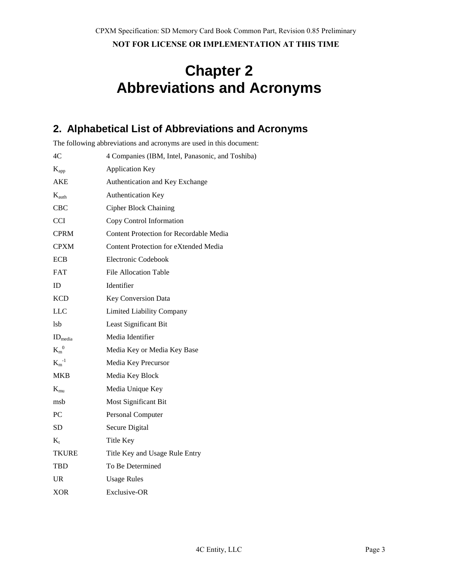## **Chapter 2 Abbreviations and Acronyms**

## <span id="page-12-0"></span>**2. Alphabetical List of Abbreviations and Acronyms**

The following abbreviations and acronyms are used in this document:

| 4C                | 4 Companies (IBM, Intel, Panasonic, and Toshiba) |  |  |  |  |
|-------------------|--------------------------------------------------|--|--|--|--|
| $K_{app}$         | <b>Application Key</b>                           |  |  |  |  |
| AKE               | Authentication and Key Exchange                  |  |  |  |  |
| $K_{\text{auth}}$ | Authentication Key                               |  |  |  |  |
| <b>CBC</b>        | <b>Cipher Block Chaining</b>                     |  |  |  |  |
| <b>CCI</b>        | Copy Control Information                         |  |  |  |  |
| <b>CPRM</b>       | <b>Content Protection for Recordable Media</b>   |  |  |  |  |
| <b>CPXM</b>       | Content Protection for eXtended Media            |  |  |  |  |
| <b>ECB</b>        | Electronic Codebook                              |  |  |  |  |
| <b>FAT</b>        | <b>File Allocation Table</b>                     |  |  |  |  |
| ID                | Identifier                                       |  |  |  |  |
| <b>KCD</b>        | Key Conversion Data                              |  |  |  |  |
| <b>LLC</b>        | <b>Limited Liability Company</b>                 |  |  |  |  |
| <b>lsb</b>        | Least Significant Bit                            |  |  |  |  |
| $ID_{media}$      | Media Identifier                                 |  |  |  |  |
| $K_m^0$           | Media Key or Media Key Base                      |  |  |  |  |
| $K_m^{-1}$        | Media Key Precursor                              |  |  |  |  |
| <b>MKB</b>        | Media Key Block                                  |  |  |  |  |
| $K_{mn}$          | Media Unique Key                                 |  |  |  |  |
| msb               | Most Significant Bit                             |  |  |  |  |
| PC                | Personal Computer                                |  |  |  |  |
| <b>SD</b>         | Secure Digital                                   |  |  |  |  |
| $K_{t}$           | Title Key                                        |  |  |  |  |
| <b>TKURE</b>      | Title Key and Usage Rule Entry                   |  |  |  |  |
| TBD               | To Be Determined                                 |  |  |  |  |
| UR                | <b>Usage Rules</b>                               |  |  |  |  |
| <b>XOR</b>        | Exclusive-OR                                     |  |  |  |  |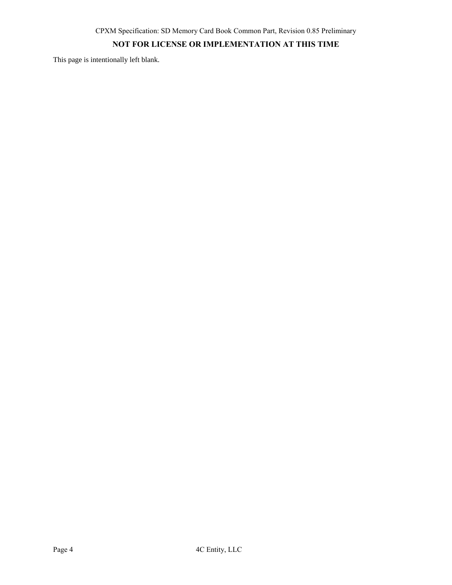This page is intentionally left blank.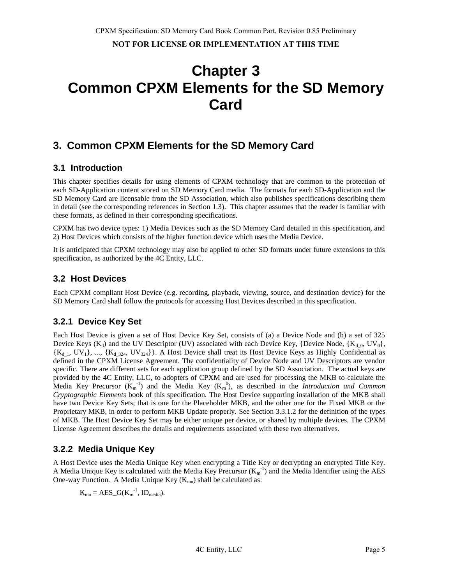## **Chapter 3 Common CPXM Elements for the SD Memory Card**

## <span id="page-14-0"></span>**3. Common CPXM Elements for the SD Memory Card**

## <span id="page-14-1"></span>**3.1 Introduction**

This chapter specifies details for using elements of CPXM technology that are common to the protection of each SD-Application content stored on SD Memory Card media. The formats for each SD-Application and the SD Memory Card are licensable from the SD Association, which also publishes specifications describing them in detail (see the corresponding references in Section [1.3\)](#page-10-1). This chapter assumes that the reader is familiar with these formats, as defined in their corresponding specifications.

CPXM has two device types: 1) Media Devices such as the SD Memory Card detailed in this specification, and 2) Host Devices which consists of the higher function device which uses the Media Device.

It is anticipated that CPXM technology may also be applied to other SD formats under future extensions to this specification, as authorized by the 4C Entity, LLC.

## <span id="page-14-2"></span>**3.2 Host Devices**

Each CPXM compliant Host Device (e.g. recording, playback, viewing, source, and destination device) for the SD Memory Card shall follow the protocols for accessing Host Devices described in this specification.

## <span id="page-14-3"></span>**3.2.1 Device Key Set**

Each Host Device is given a set of Host Device Key Set, consists of (a) a Device Node and (b) a set of 325 Device Keys ( $K_d$ ) and the UV Descriptor (UV) associated with each Device Key, {Device Node,  $\{K_d, J_v, \text{UV}_0\}$ ,  ${K_d}_1$ , UV<sub>1</sub>}, ...,  ${K_d}_{324}$ , UV<sub>324</sub>}. A Host Device shall treat its Host Device Keys as Highly Confidential as defined in the CPXM License Agreement. The confidentiality of Device Node and UV Descriptors are vendor specific. There are different sets for each application group defined by the SD Association. The actual keys are provided by the 4C Entity, LLC, to adopters of CPXM and are used for processing the MKB to calculate the Media Key Precursor  $(K_m^{-1})$  and the Media Key  $(K_m^{-0})$ , as described in the *Introduction and Common Cryptographic Elements* book of this specification. The Host Device supporting installation of the MKB shall have two Device Key Sets; that is one for the Placeholder MKB, and the other one for the Fixed MKB or the Proprietary MKB, in order to perform MKB Update properly. See Section [3.3.1.2](#page-17-0) for the definition of the types of MKB. The Host Device Key Set may be either unique per device, or shared by multiple devices. The CPXM License Agreement describes the details and requirements associated with these two alternatives.

## <span id="page-14-4"></span>**3.2.2 Media Unique Key**

A Host Device uses the Media Unique Key when encrypting a Title Key or decrypting an encrypted Title Key. A Media Unique Key is calculated with the Media Key Precursor  $(K_m^{-1})$  and the Media Identifier using the AES One-way Function. A Media Unique Key  $(K_{\text{mu}})$  shall be calculated as:

 $K_{mu} = AES_G(K_m^{-1}, ID_{median}).$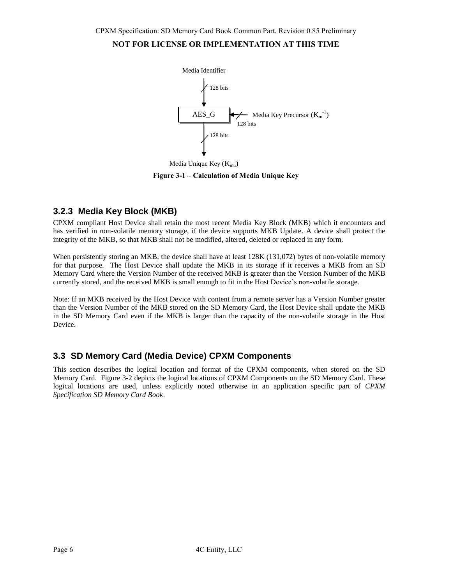



**Figure 3-1 – Calculation of Media Unique Key**

## <span id="page-15-0"></span>**3.2.3 Media Key Block (MKB)**

CPXM compliant Host Device shall retain the most recent Media Key Block (MKB) which it encounters and has verified in non-volatile memory storage, if the device supports MKB Update. A device shall protect the integrity of the MKB, so that MKB shall not be modified, altered, deleted or replaced in any form.

When persistently storing an MKB, the device shall have at least  $128K (131,072)$  bytes of non-volatile memory for that purpose. The Host Device shall update the MKB in its storage if it receives a MKB from an SD Memory Card where the Version Number of the received MKB is greater than the Version Number of the MKB currently stored, and the received MKB is small enough to fit in the Host Device"s non-volatile storage.

Note: If an MKB received by the Host Device with content from a remote server has a Version Number greater than the Version Number of the MKB stored on the SD Memory Card, the Host Device shall update the MKB in the SD Memory Card even if the MKB is larger than the capacity of the non-volatile storage in the Host Device.

## <span id="page-15-1"></span>**3.3 SD Memory Card (Media Device) CPXM Components**

This section describes the logical location and format of the CPXM components, when stored on the SD Memory Card. [Figure 3-2](#page-16-2) depicts the logical locations of CPXM Components on the SD Memory Card. These logical locations are used, unless explicitly noted otherwise in an application specific part of *CPXM Specification SD Memory Card Book*.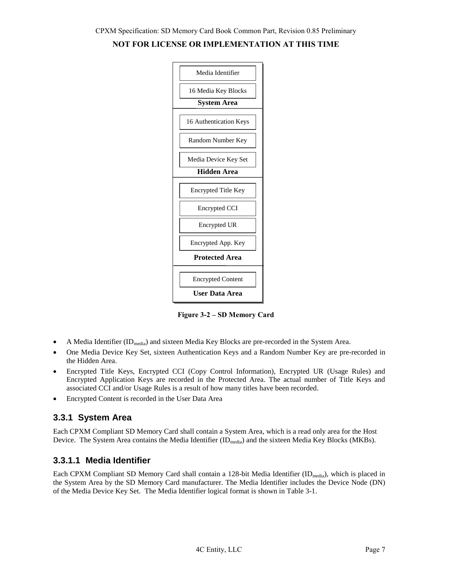

**Figure 3-2 – SD Memory Card**

- <span id="page-16-2"></span>A Media Identifier (ID<sub>media</sub>) and sixteen Media Key Blocks are pre-recorded in the System Area.
- One Media Device Key Set, sixteen Authentication Keys and a Random Number Key are pre-recorded in the Hidden Area.
- Encrypted Title Keys, Encrypted CCI (Copy Control Information), Encrypted UR (Usage Rules) and Encrypted Application Keys are recorded in the Protected Area. The actual number of Title Keys and associated CCI and/or Usage Rules is a result of how many titles have been recorded.
- Encrypted Content is recorded in the User Data Area

## <span id="page-16-0"></span>**3.3.1 System Area**

Each CPXM Compliant SD Memory Card shall contain a System Area, which is a read only area for the Host Device. The System Area contains the Media Identifier (ID<sub>media</sub>) and the sixteen Media Key Blocks (MKBs).

## <span id="page-16-1"></span>**3.3.1.1 Media Identifier**

Each CPXM Compliant SD Memory Card shall contain a 128-bit Media Identifier (ID<sub>media</sub>), which is placed in the System Area by the SD Memory Card manufacturer. The Media Identifier includes the Device Node (DN) of the Media Device Key Set. The Media Identifier logical format is shown i[n Table 3-1.](#page-17-1)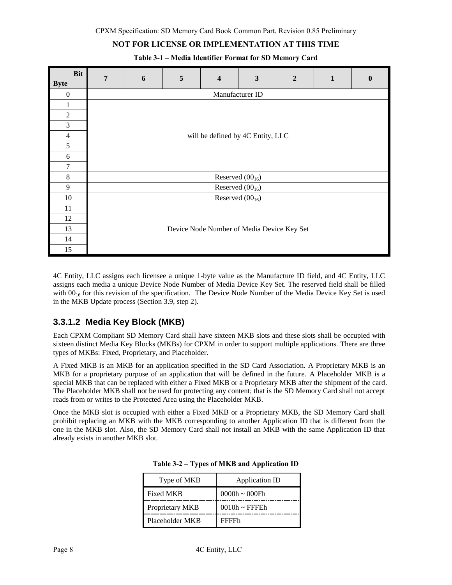**Table 3-1 – Media Identifier Format for SD Memory Card**

<span id="page-17-1"></span>

| <b>Bit</b><br><b>Byte</b> | 7 | 6                                                                    | 5 | $\overline{\mathbf{4}}$ | $\mathbf{3}$ | $\overline{2}$ | $\mathbf{1}$ | $\boldsymbol{0}$ |  |  |
|---------------------------|---|----------------------------------------------------------------------|---|-------------------------|--------------|----------------|--------------|------------------|--|--|
| $\boldsymbol{0}$          |   | Manufacturer ID                                                      |   |                         |              |                |              |                  |  |  |
|                           |   | will be defined by 4C Entity, LLC                                    |   |                         |              |                |              |                  |  |  |
| $\overline{2}$            |   |                                                                      |   |                         |              |                |              |                  |  |  |
| $\mathfrak{Z}$            |   |                                                                      |   |                         |              |                |              |                  |  |  |
| $\overline{4}$            |   |                                                                      |   |                         |              |                |              |                  |  |  |
| 5                         |   |                                                                      |   |                         |              |                |              |                  |  |  |
| 6                         |   |                                                                      |   |                         |              |                |              |                  |  |  |
| 7                         |   |                                                                      |   |                         |              |                |              |                  |  |  |
| $\,8\,$                   |   | Reserved $(00_{16})$<br>Reserved $(00_{16})$<br>Reserved $(00_{16})$ |   |                         |              |                |              |                  |  |  |
| 9                         |   |                                                                      |   |                         |              |                |              |                  |  |  |
| 10                        |   |                                                                      |   |                         |              |                |              |                  |  |  |
| 11                        |   | Device Node Number of Media Device Key Set                           |   |                         |              |                |              |                  |  |  |
| 12                        |   |                                                                      |   |                         |              |                |              |                  |  |  |
| 13                        |   |                                                                      |   |                         |              |                |              |                  |  |  |
| 14                        |   |                                                                      |   |                         |              |                |              |                  |  |  |
| 15                        |   |                                                                      |   |                         |              |                |              |                  |  |  |

4C Entity, LLC assigns each licensee a unique 1-byte value as the Manufacture ID field, and 4C Entity, LLC assigns each media a unique Device Node Number of Media Device Key Set. The reserved field shall be filled with  $00_{16}$  for this revision of the specification. The Device Node Number of the Media Device Key Set is used in the MKB Update process (Section [3.9,](#page-35-0) step 2).

## <span id="page-17-0"></span>**3.3.1.2 Media Key Block (MKB)**

Each CPXM Compliant SD Memory Card shall have sixteen MKB slots and these slots shall be occupied with sixteen distinct Media Key Blocks (MKBs) for CPXM in order to support multiple applications. There are three types of MKBs: Fixed, Proprietary, and Placeholder.

A Fixed MKB is an MKB for an application specified in the SD Card Association. A Proprietary MKB is an MKB for a proprietary purpose of an application that will be defined in the future. A Placeholder MKB is a special MKB that can be replaced with either a Fixed MKB or a Proprietary MKB after the shipment of the card. The Placeholder MKB shall not be used for protecting any content; that is the SD Memory Card shall not accept reads from or writes to the Protected Area using the Placeholder MKB.

Once the MKB slot is occupied with either a Fixed MKB or a Proprietary MKB, the SD Memory Card shall prohibit replacing an MKB with the MKB corresponding to another Application ID that is different from the one in the MKB slot. Also, the SD Memory Card shall not install an MKB with the same Application ID that already exists in another MKB slot.

| Type of MKB      | Application ID     |
|------------------|--------------------|
| <b>Fixed MKB</b> | 0000h ~ 000Fh      |
| Proprietary MKB  | $0010h \sim FFFEh$ |
| Placeholder MKB  | FFFFh              |

|  |  |  | Table 3-2 – Types of MKB and Application ID |
|--|--|--|---------------------------------------------|
|--|--|--|---------------------------------------------|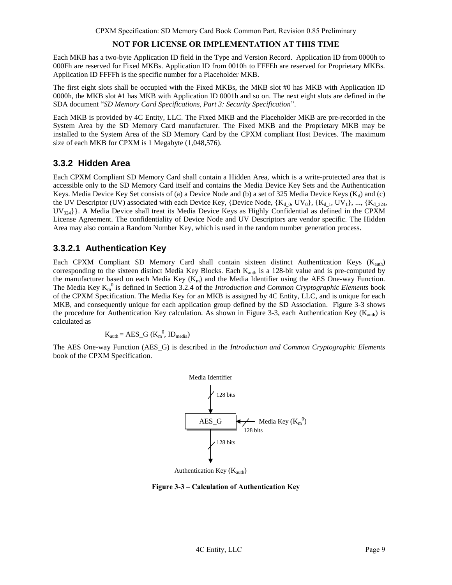CPXM Specification: SD Memory Card Book Common Part, Revision 0.85 Preliminary

#### **NOT FOR LICENSE OR IMPLEMENTATION AT THIS TIME**

Each MKB has a two-byte Application ID field in the Type and Version Record. Application ID from 0000h to 000Fh are reserved for Fixed MKBs. Application ID from 0010h to FFFEh are reserved for Proprietary MKBs. Application ID FFFFh is the specific number for a Placeholder MKB.

The first eight slots shall be occupied with the Fixed MKBs, the MKB slot #0 has MKB with Application ID 0000h, the MKB slot #1 has MKB with Application ID 0001h and so on. The next eight slots are defined in the SDA document "*SD Memory Card Specifications, Part 3: Security Specification*".

Each MKB is provided by 4C Entity, LLC. The Fixed MKB and the Placeholder MKB are pre-recorded in the System Area by the SD Memory Card manufacturer. The Fixed MKB and the Proprietary MKB may be installed to the System Area of the SD Memory Card by the CPXM compliant Host Devices. The maximum size of each MKB for CPXM is 1 Megabyte (1,048,576).

#### <span id="page-18-0"></span>**3.3.2 Hidden Area**

Each CPXM Compliant SD Memory Card shall contain a Hidden Area, which is a write-protected area that is accessible only to the SD Memory Card itself and contains the Media Device Key Sets and the Authentication Keys. Media Device Key Set consists of (a) a Device Node and (b) a set of 325 Media Device Keys ( $K_d$ ) and (c) the UV Descriptor (UV) associated with each Device Key, {Device Node,  $\{K_{d,0}, UV_0\}$ ,  $\{K_{d,1}, UV_1\}$ , ...,  $\{K_{d,324},$ UV<sub>324</sub>}}. A Media Device shall treat its Media Device Keys as Highly Confidential as defined in the CPXM License Agreement. The confidentiality of Device Node and UV Descriptors are vendor specific. The Hidden Area may also contain a Random Number Key, which is used in the random number generation process.

#### <span id="page-18-1"></span>**3.3.2.1 Authentication Key**

Each CPXM Compliant SD Memory Card shall contain sixteen distinct Authentication Keys ( $K_{\text{auth}}$ ) corresponding to the sixteen distinct Media Key Blocks. Each  $K_{\text{auth}}$  is a 128-bit value and is pre-computed by the manufacturer based on each Media Key  $(K_m)$  and the Media Identifier using the AES One-way Function. The Media Key  $K_m^0$  is defined in Section 3.2.4 of the *Introduction and Common Cryptographic Elements* book of the CPXM Specification. The Media Key for an MKB is assigned by 4C Entity, LLC, and is unique for each MKB, and consequently unique for each application group defined by the SD Association. [Figure 3-3](#page-18-3) shows the procedure for Authentication Key calculation. As shown in [Figure 3-3,](#page-18-3) each Authentication Key ( $K_{\text{auth}}$ ) is calculated as

$$
K_{auth} = AES\_G (K_m^0, ID_{media})
$$

The AES One-way Function (AES\_G) is described in the *Introduction and Common Cryptographic Elements* book of the CPXM Specification.



Authentication Key  $(K_{\text{auth}})$ 

<span id="page-18-3"></span><span id="page-18-2"></span>**Figure 3-3 – Calculation of Authentication Key**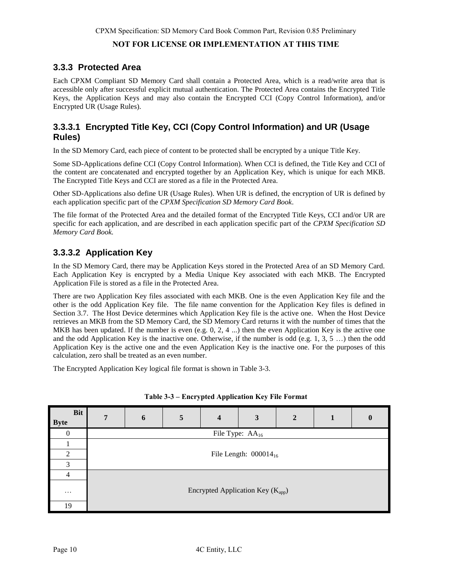## **3.3.3 Protected Area**

Each CPXM Compliant SD Memory Card shall contain a Protected Area, which is a read/write area that is accessible only after successful explicit mutual authentication. The Protected Area contains the Encrypted Title Keys, the Application Keys and may also contain the Encrypted CCI (Copy Control Information), and/or Encrypted UR (Usage Rules).

#### <span id="page-19-0"></span>**3.3.3.1 Encrypted Title Key, CCI (Copy Control Information) and UR (Usage Rules)**

In the SD Memory Card, each piece of content to be protected shall be encrypted by a unique Title Key.

Some SD-Applications define CCI (Copy Control Information). When CCI is defined, the Title Key and CCI of the content are concatenated and encrypted together by an Application Key, which is unique for each MKB. The Encrypted Title Keys and CCI are stored as a file in the Protected Area.

Other SD-Applications also define UR (Usage Rules). When UR is defined, the encryption of UR is defined by each application specific part of the *CPXM Specification SD Memory Card Book*.

The file format of the Protected Area and the detailed format of the Encrypted Title Keys, CCI and/or UR are specific for each application, and are described in each application specific part of the *CPXM Specification SD Memory Card Book.*

## <span id="page-19-1"></span>**3.3.3.2 Application Key**

In the SD Memory Card, there may be Application Keys stored in the Protected Area of an SD Memory Card. Each Application Key is encrypted by a Media Unique Key associated with each MKB. The Encrypted Application File is stored as a file in the Protected Area.

There are two Application Key files associated with each MKB. One is the even Application Key file and the other is the odd Application Key file. The file name convention for the Application Key files is defined in Section [3.7.](#page-34-0) The Host Device determines which Application Key file is the active one. When the Host Device retrieves an MKB from the SD Memory Card, the SD Memory Card returns it with the number of times that the MKB has been updated. If the number is even (e.g. 0, 2, 4 ...) then the even Application Key is the active one and the odd Application Key is the inactive one. Otherwise, if the number is odd (e.g. 1, 3, 5 …) then the odd Application Key is the active one and the even Application Key is the inactive one. For the purposes of this calculation, zero shall be treated as an even number.

The Encrypted Application Key logical file format is shown in [Table 3-3.](#page-19-2)

<span id="page-19-2"></span>

| <b>Bit</b><br><b>Byte</b> | 7                                     | 6                    | $\overline{5}$ | 4 | 3 | $\mathbf{2}$ |  |  |  |
|---------------------------|---------------------------------------|----------------------|----------------|---|---|--------------|--|--|--|
|                           |                                       | File Type: $AA_{16}$ |                |   |   |              |  |  |  |
|                           |                                       |                      |                |   |   |              |  |  |  |
| ◠                         | File Length: $000014_{16}$            |                      |                |   |   |              |  |  |  |
| 3                         |                                       |                      |                |   |   |              |  |  |  |
| 4                         |                                       |                      |                |   |   |              |  |  |  |
| $\cdots$                  | Encrypted Application Key $(K_{app})$ |                      |                |   |   |              |  |  |  |
| 19                        |                                       |                      |                |   |   |              |  |  |  |

**Table 3-3 – Encrypted Application Key File Format**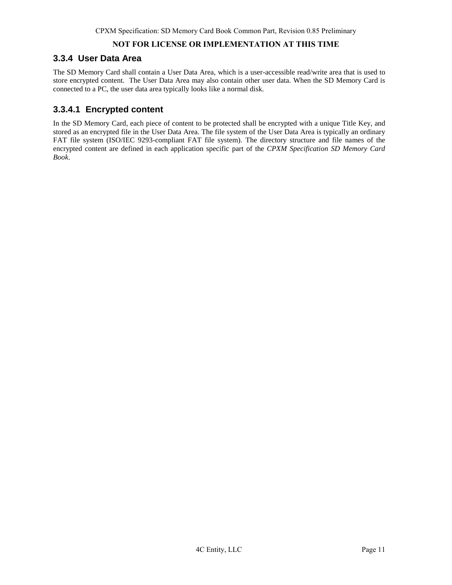#### <span id="page-20-0"></span>**3.3.4 User Data Area**

The SD Memory Card shall contain a User Data Area, which is a user-accessible read/write area that is used to store encrypted content. The User Data Area may also contain other user data. When the SD Memory Card is connected to a PC, the user data area typically looks like a normal disk.

## <span id="page-20-1"></span>**3.3.4.1 Encrypted content**

In the SD Memory Card, each piece of content to be protected shall be encrypted with a unique Title Key, and stored as an encrypted file in the User Data Area. The file system of the User Data Area is typically an ordinary FAT file system (ISO/IEC 9293-compliant FAT file system). The directory structure and file names of the encrypted content are defined in each application specific part of the *CPXM Specification SD Memory Card Book*.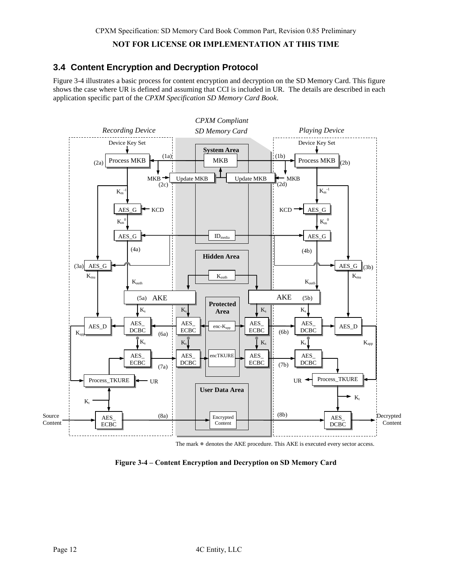## <span id="page-21-0"></span>**3.4 Content Encryption and Decryption Protocol**

[Figure 3-4](#page-21-1) illustrates a basic process for content encryption and decryption on the SD Memory Card. This figure shows the case where UR is defined and assuming that CCI is included in UR. The details are described in each application specific part of the *CPXM Specification SD Memory Card Book*.



The mark  $\bullet$  denotes the AKE procedure. This AKE is executed every sector access.

<span id="page-21-1"></span>**Figure 3-4 – Content Encryption and Decryption on SD Memory Card**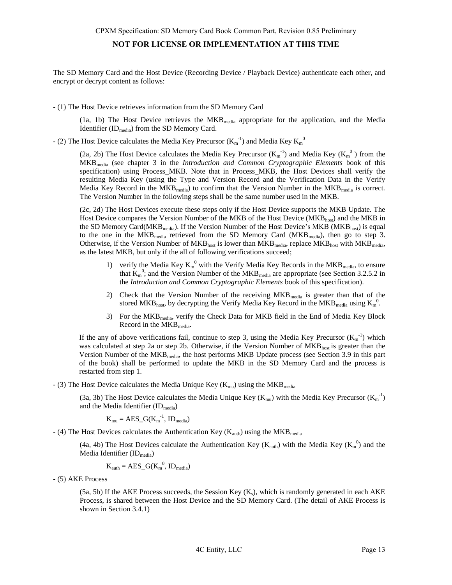The SD Memory Card and the Host Device (Recording Device / Playback Device) authenticate each other, and encrypt or decrypt content as follows:

- (1) The Host Device retrieves information from the SD Memory Card

(1a, 1b) The Host Device retrieves the  $MKB_{\text{median}}$  appropriate for the application, and the Media Identifier  $(ID_{\text{median}})$  from the SD Memory Card.

- (2) The Host Device calculates the Media Key Precursor ( $K_m^{-1}$ ) and Media Key  $K_m^{-0}$ 

(2a, 2b) The Host Device calculates the Media Key Precursor  $(K_m^{-1})$  and Media Key  $(K_m^{-0})$  from the MKBmedia (see chapter 3 in the *Introduction and Common Cryptographic Elements* book of this specification) using Process\_MKB. Note that in Process\_MKB, the Host Devices shall verify the resulting Media Key (using the Type and Version Record and the Verification Data in the Verify Media Key Record in the  $MKB_{\text{median}}$  to confirm that the Version Number in the  $MKB_{\text{median}}$  is correct. The Version Number in the following steps shall be the same number used in the MKB.

(2c, 2d) The Host Devices execute these steps only if the Host Device supports the MKB Update. The Host Device compares the Version Number of the MKB of the Host Device (MKB<sub>host</sub>) and the MKB in the SD Memory Card(MKB<sub>media</sub>). If the Version Number of the Host Device's MKB (MKB<sub>host</sub>) is equal to the one in the  $MKB_{\text{median}}$  retrieved from the SD Memory Card ( $MKB_{\text{median}}$ ), then go to step 3. Otherwise, if the Version Number of  $MKB_{host}$  is lower than  $MKB_{media}$ , replace  $MKB_{host}$  with  $MKB_{media}$ , as the latest MKB, but only if the all of following verifications succeed;

- 1) verify the Media Key  $K_m^0$  with the Verify Media Key Records in the MKB<sub>media</sub>, to ensure that  $K_m^0$ ; and the Version Number of the  $MKB_{\text{media}}$  are appropriate (see Section 3.2.5.2 in the *Introduction and Common Cryptographic Elements* book of this specification).
- 2) Check that the Version Number of the receiving  $MKB_{\text{median}}$  is greater than that of the stored MKB<sub>host</sub>, by decrypting the Verify Media Key Record in the MKB<sub>media</sub> using  $K_m^0$ .
- 3) For the MKBmedia, verify the Check Data for MKB field in the End of Media Key Block Record in the  $MKB_{\text{median}}$ .

If the any of above verifications fail, continue to step 3, using the Media Key Precursor  $(K_m^{-1})$  which was calculated at step 2a or step 2b. Otherwise, if the Version Number of  $MKB<sub>host</sub>$  is greater than the Version Number of the  $MKB_{\text{median}}$ , the host performs  $MKB$  Update process (see Section [3.9](#page-35-0) in this part of the book) shall be performed to update the MKB in the SD Memory Card and the process is restarted from step 1.

- (3) The Host Device calculates the Media Unique Key ( $K_{mu}$ ) using the MKB<sub>media</sub>

(3a, 3b) The Host Device calculates the Media Unique Key ( $K_{mu}$ ) with the Media Key Precursor ( $K_{m}^{-1}$ ) and the Media Identifier  $(ID_{\text{median}})$ 

$$
K_{mu} = AES\_G(K_m^{-1}, ID_{median})
$$

- (4) The Host Devices calculates the Authentication Key ( $K_{\text{auth}}$ ) using the  $MKB_{\text{median}}$ 

(4a, 4b) The Host Devices calculate the Authentication Key ( $K_{\text{auth}}$ ) with the Media Key ( $K_m^0$ ) and the Media Identifier  $(ID_{\text{media}})$ 

$$
K_{auth} = AES\_G(K_m^0, ID_{media})
$$

- (5) AKE Process

(5a, 5b) If the AKE Process succeeds, the Session Key  $(K_s)$ , which is randomly generated in each AKE Process, is shared between the Host Device and the SD Memory Card. (The detail of AKE Process is shown in Section [3.4.1\)](#page-23-0)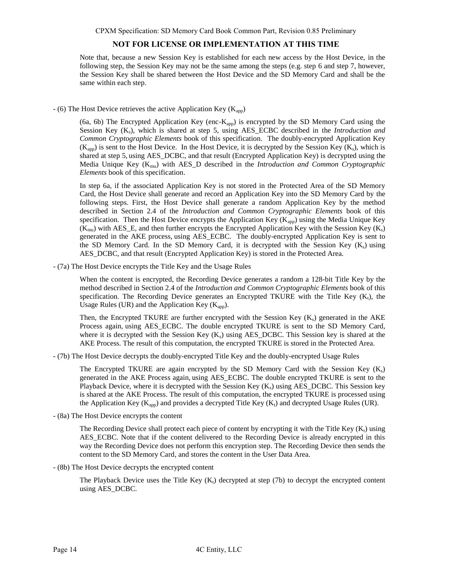CPXM Specification: SD Memory Card Book Common Part, Revision 0.85 Preliminary

#### **NOT FOR LICENSE OR IMPLEMENTATION AT THIS TIME**

Note that, because a new Session Key is established for each new access by the Host Device, in the following step, the Session Key may not be the same among the steps (e.g. step 6 and step 7, however, the Session Key shall be shared between the Host Device and the SD Memory Card and shall be the same within each step.

#### $-$  (6) The Host Device retrieves the active Application Key ( $K_{app}$ )

(6a, 6b) The Encrypted Application Key (enc- $K_{app}$ ) is encrypted by the SD Memory Card using the Session Key (K<sub>s</sub>), which is shared at step 5, using AES\_ECBC described in the *Introduction and Common Cryptographic Elements* book of this specification. The doubly-encrypted Application Key  $(K_{\text{app}})$  is sent to the Host Device. In the Host Device, it is decrypted by the Session Key  $(K_s)$ , which is shared at step 5, using AES\_DCBC, and that result (Encrypted Application Key) is decrypted using the Media Unique Key (Kmu) with AES\_D described in the *Introduction and Common Cryptographic Elements* book of this specification.

In step 6a, if the associated Application Key is not stored in the Protected Area of the SD Memory Card, the Host Device shall generate and record an Application Key into the SD Memory Card by the following steps. First, the Host Device shall generate a random Application Key by the method described in Section 2.4 of the *Introduction and Common Cryptographic Elements* book of this specification. Then the Host Device encrypts the Application Key ( $K_{app}$ ) using the Media Unique Key  $(K_{mu})$  with AES\_E, and then further encrypts the Encrypted Application Key with the Session Key (K<sub>s</sub>) generated in the AKE process, using AES\_ECBC. The doubly-encrypted Application Key is sent to the SD Memory Card. In the SD Memory Card, it is decrypted with the Session Key  $(K_s)$  using AES\_DCBC, and that result (Encrypted Application Key) is stored in the Protected Area.

- (7a) The Host Device encrypts the Title Key and the Usage Rules

When the content is encrypted, the Recording Device generates a random a 128-bit Title Key by the method described in Section 2.4 of the *Introduction and Common Cryptographic Elements* book of this specification. The Recording Device generates an Encrypted TKURE with the Title Key  $(K<sub>1</sub>)$ , the Usage Rules (UR) and the Application Key  $(K_{app})$ .

Then, the Encrypted TKURE are further encrypted with the Session Key  $(K_s)$  generated in the AKE Process again, using AES\_ECBC. The double encrypted TKURE is sent to the SD Memory Card, where it is decrypted with the Session Key  $(K_s)$  using AES\_DCBC. This Session key is shared at the AKE Process. The result of this computation, the encrypted TKURE is stored in the Protected Area.

- (7b) The Host Device decrypts the doubly-encrypted Title Key and the doubly-encrypted Usage Rules

The Encrypted TKURE are again encrypted by the SD Memory Card with the Session Key  $(K_s)$ generated in the AKE Process again, using AES\_ECBC. The double encrypted TKURE is sent to the Playback Device, where it is decrypted with the Session Key  $(K_s)$  using AES\_DCBC. This Session key is shared at the AKE Process. The result of this computation, the encrypted TKURE is processed using the Application Key ( $K_{app}$ ) and provides a decrypted Title Key ( $K_t$ ) and decrypted Usage Rules (UR).

- (8a) The Host Device encrypts the content

The Recording Device shall protect each piece of content by encrypting it with the Title Key  $(K_t)$  using AES\_ECBC. Note that if the content delivered to the Recording Device is already encrypted in this way the Recording Device does not perform this encryption step. The Recording Device then sends the content to the SD Memory Card, and stores the content in the User Data Area.

<span id="page-23-0"></span>- (8b) The Host Device decrypts the encrypted content

The Playback Device uses the Title Key  $(K_t)$  decrypted at step (7b) to decrypt the encrypted content using AES\_DCBC.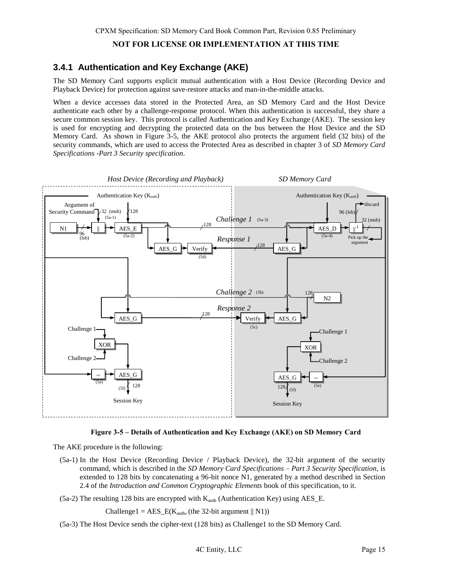## <span id="page-24-0"></span>**3.4.1 Authentication and Key Exchange (AKE)**

The SD Memory Card supports explicit mutual authentication with a Host Device (Recording Device and Playback Device) for protection against save-restore attacks and man-in-the-middle attacks.

When a device accesses data stored in the Protected Area, an SD Memory Card and the Host Device authenticate each other by a challenge-response protocol. When this authentication is successful, they share a secure common session key. This protocol is called Authentication and Key Exchange (AKE). The session key is used for encrypting and decrypting the protected data on the bus between the Host Device and the SD Memory Card. As shown in [Figure 3-5,](#page-24-1) the AKE protocol also protects the argument field (32 bits) of the security commands, which are used to access the Protected Area as described in chapter 3 of *SD Memory Card Specifications -Part 3 Security specification*.





<span id="page-24-1"></span>The AKE procedure is the following:

- (5a-1) In the Host Device (Recording Device / Playback Device), the 32-bit argument of the security command, which is described in the *SD Memory Card Specifications – Part 3 Security Specification*, is extended to 128 bits by concatenating a 96-bit nonce N1, generated by a method described in Section 2.4 of the *Introduction and Common Cryptographic Elements* book of this specification, to it.
- $(5a-2)$  The resulting 128 bits are encrypted with  $K_{\text{auth}}$  (Authentication Key) using AES\_E.

Challenge1 =  $AES\_E(K_{auth}, (the 32-bit argument \parallel N1))$ 

(5a-3) The Host Device sends the cipher-text (128 bits) as Challenge1 to the SD Memory Card.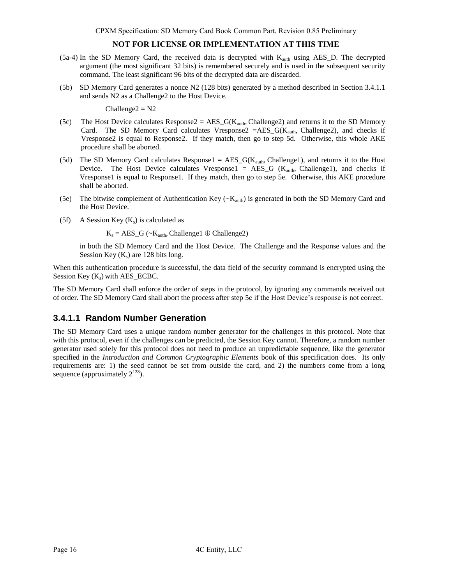- $(5a-4)$  In the SD Memory Card, the received data is decrypted with  $K_{\text{auth}}$  using AES\_D. The decrypted argument (the most significant 32 bits) is remembered securely and is used in the subsequent security command. The least significant 96 bits of the decrypted data are discarded.
- (5b) SD Memory Card generates a nonce N2 (128 bits) generated by a method described in Section [3.4.1.1](#page-25-0) and sends N2 as a Challenge2 to the Host Device.

 $Challenge2 = N2$ 

- (5c) The Host Device calculates Response2 =  $\text{AES_G}(K_{\text{auth}}$ , Challenge2) and returns it to the SD Memory Card. The SD Memory Card calculates Vresponse2  $=AES_G(K_{\text{auth}}, \text{Challenge2})$ , and checks if Vresponse2 is equal to Response2. If they match, then go to step 5d. Otherwise, this whole AKE procedure shall be aborted.
- (5d) The SD Memory Card calculates Response1 =  $AES_G(K_{\text{auth}}, \text{Challengel})$ , and returns it to the Host Device. The Host Device calculates Vresponse1 =  $\text{AES}\_\text{G}$  (K<sub>auth</sub>, Challenge1), and checks if Vresponse1 is equal to Response1. If they match, then go to step 5e. Otherwise, this AKE procedure shall be aborted.
- (5e) The bitwise complement of Authentication Key ( $\sim$ K<sub>auth</sub>) is generated in both the SD Memory Card and the Host Device.
- (5f) A Session Key  $(K<sub>s</sub>)$  is calculated as

 $K_s = AES_G (\sim K_{auth}, Challenge1 \oplus Challenge2)$ 

in both the SD Memory Card and the Host Device. The Challenge and the Response values and the Session Key  $(K_s)$  are 128 bits long.

When this authentication procedure is successful, the data field of the security command is encrypted using the Session Key  $(K_s)$  with AES\_ECBC.

The SD Memory Card shall enforce the order of steps in the protocol, by ignoring any commands received out of order. The SD Memory Card shall abort the process after step 5c if the Host Device"s response is not correct.

## <span id="page-25-0"></span>**3.4.1.1 Random Number Generation**

<span id="page-25-1"></span>The SD Memory Card uses a unique random number generator for the challenges in this protocol. Note that with this protocol, even if the challenges can be predicted, the Session Key cannot. Therefore, a random number generator used solely for this protocol does not need to produce an unpredictable sequence, like the generator specified in the *Introduction and Common Cryptographic Elements* book of this specification does. Its only requirements are: 1) the seed cannot be set from outside the card, and 2) the numbers come from a long sequence (approximately  $2^{128}$ ).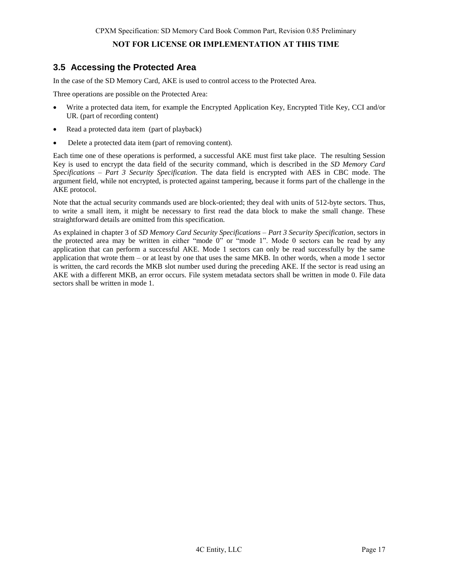### **3.5 Accessing the Protected Area**

In the case of the SD Memory Card, AKE is used to control access to the Protected Area.

Three operations are possible on the Protected Area:

- Write a protected data item, for example the Encrypted Application Key, Encrypted Title Key, CCI and/or UR. (part of recording content)
- Read a protected data item (part of playback)
- Delete a protected data item (part of removing content).

Each time one of these operations is performed, a successful AKE must first take place. The resulting Session Key is used to encrypt the data field of the security command, which is described in the *SD Memory Card Specifications – Part 3 Security Specification*. The data field is encrypted with AES in CBC mode. The argument field, while not encrypted, is protected against tampering, because it forms part of the challenge in the AKE protocol.

Note that the actual security commands used are block-oriented; they deal with units of 512-byte sectors. Thus, to write a small item, it might be necessary to first read the data block to make the small change. These straightforward details are omitted from this specification.

As explained in chapter 3 of *SD Memory Card Security Specifications – Part 3 Security Specification*, sectors in the protected area may be written in either "mode 0" or "mode 1". Mode 0 sectors can be read by any application that can perform a successful AKE. Mode 1 sectors can only be read successfully by the same application that wrote them – or at least by one that uses the same MKB. In other words, when a mode 1 sector is written, the card records the MKB slot number used during the preceding AKE. If the sector is read using an AKE with a different MKB, an error occurs. File system metadata sectors shall be written in mode 0. File data sectors shall be written in mode 1.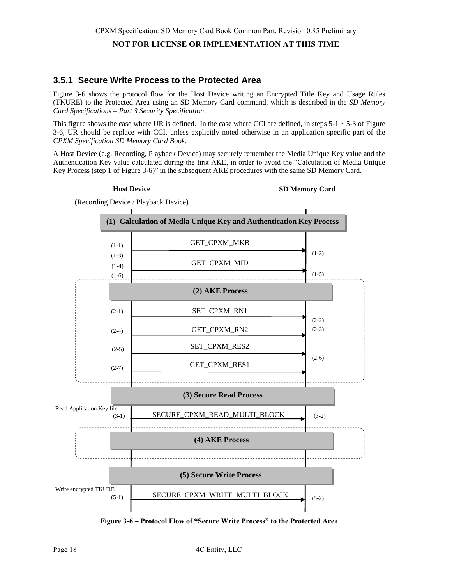#### <span id="page-27-0"></span>**3.5.1 Secure Write Process to the Protected Area**

**Host Device**

[Figure 3-6](#page-27-1) shows the protocol flow for the Host Device writing an Encrypted Title Key and Usage Rules (TKURE) to the Protected Area using an SD Memory Card command, which is described in the *SD Memory Card Specifications – Part 3 Security Specification*.

This figure shows the case where UR is defined. In the case where CCI are defined, in steps  $5-1 \sim 5-3$  of Figure [3-6,](#page-27-1) UR should be replace with CCI, unless explicitly noted otherwise in an application specific part of the *CPXM Specification SD Memory Card Book*.

A Host Device (e.g. Recording, Playback Device) may securely remember the Media Unique Key value and the Authentication Key value calculated during the first AKE, in order to avoid the "Calculation of Media Unique Key Process (step 1 o[f Figure 3-6\)](#page-27-1)" in the subsequent AKE procedures with the same SD Memory Card.

**SD Memory Card**



<span id="page-27-1"></span>**Figure 3-6 – Protocol Flow of "Secure Write Process" to the Protected Area**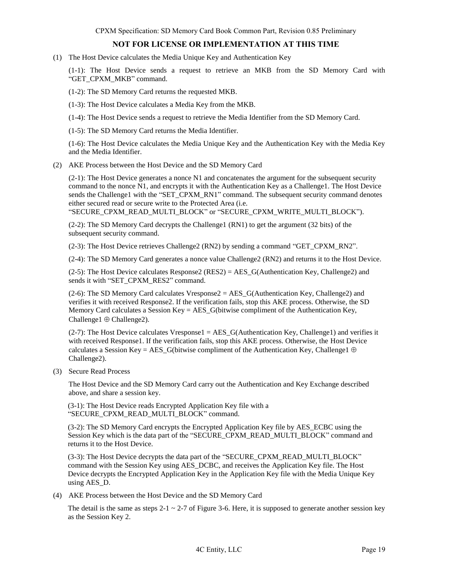(1) The Host Device calculates the Media Unique Key and Authentication Key

(1-1): The Host Device sends a request to retrieve an MKB from the SD Memory Card with "GET\_CPXM\_MKB" command.

- (1-2): The SD Memory Card returns the requested MKB.
- (1-3): The Host Device calculates a Media Key from the MKB.
- (1-4): The Host Device sends a request to retrieve the Media Identifier from the SD Memory Card.
- (1-5): The SD Memory Card returns the Media Identifier.

(1-6): The Host Device calculates the Media Unique Key and the Authentication Key with the Media Key and the Media Identifier.

(2) AKE Process between the Host Device and the SD Memory Card

(2-1): The Host Device generates a nonce N1 and concatenates the argument for the subsequent security command to the nonce N1, and encrypts it with the Authentication Key as a Challenge1. The Host Device sends the Challenge1 with the "SET\_CPXM\_RN1" command. The subsequent security command denotes either secured read or secure write to the Protected Area (i.e.

"SECURE CPXM\_READ\_MULTI\_BLOCK" or "SECURE\_CPXM\_WRITE\_MULTI\_BLOCK").

(2-2): The SD Memory Card decrypts the Challenge1 (RN1) to get the argument (32 bits) of the subsequent security command.

(2-3): The Host Device retrieves Challenge2 (RN2) by sending a command "GET\_CPXM\_RN2".

(2-4): The SD Memory Card generates a nonce value Challenge2 (RN2) and returns it to the Host Device.

 $(2-5)$ : The Host Device calculates Response2 (RES2) = AES\_G(Authentication Key, Challenge2) and sends it with "SET\_CPXM\_RES2" command.

(2-6): The SD Memory Card calculates Vresponse2 = AES  $G(A$ uthentication Key, Challenge2) and verifies it with received Response2. If the verification fails, stop this AKE process. Otherwise, the SD Memory Card calculates a Session Key = AES\_G(bitwise compliment of the Authentication Key, Challenge1  $\oplus$  Challenge2).

 $(2-7)$ : The Host Device calculates Vresponse1 = AES\_G(Authentication Key, Challenge1) and verifies it with received Response1. If the verification fails, stop this AKE process. Otherwise, the Host Device calculates a Session Key = AES\_G(bitwise compliment of the Authentication Key, Challenge1  $\oplus$ Challenge2).

(3) Secure Read Process

The Host Device and the SD Memory Card carry out the Authentication and Key Exchange described above, and share a session key.

(3-1): The Host Device reads Encrypted Application Key file with a "SECURE\_CPXM\_READ\_MULTI\_BLOCK" command.

(3-2): The SD Memory Card encrypts the Encrypted Application Key file by AES\_ECBC using the Session Key which is the data part of the "SECURE\_CPXM\_READ\_MULTI\_BLOCK" command and returns it to the Host Device.

(3-3): The Host Device decrypts the data part of the "SECURE\_CPXM\_READ\_MULTI\_BLOCK" command with the Session Key using AES\_DCBC, and receives the Application Key file. The Host Device decrypts the Encrypted Application Key in the Application Key file with the Media Unique Key using AES\_D.

(4) AKE Process between the Host Device and the SD Memory Card

The detail is the same as steps  $2-1 \sim 2-7$  of [Figure 3-6.](#page-27-1) Here, it is supposed to generate another session key as the Session Key 2.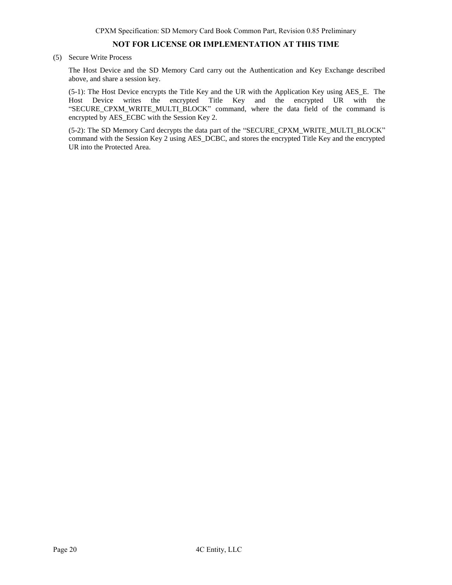(5) Secure Write Process

The Host Device and the SD Memory Card carry out the Authentication and Key Exchange described above, and share a session key.

(5-1): The Host Device encrypts the Title Key and the UR with the Application Key using AES\_E. The Host Device writes the encrypted Title Key and the encrypted UR with the "SECURE\_CPXM\_WRITE\_MULTI\_BLOCK" command, where the data field of the command is encrypted by AES\_ECBC with the Session Key 2.

(5-2): The SD Memory Card decrypts the data part of the "SECURE\_CPXM\_WRITE\_MULTI\_BLOCK" command with the Session Key 2 using AES\_DCBC, and stores the encrypted Title Key and the encrypted UR into the Protected Area.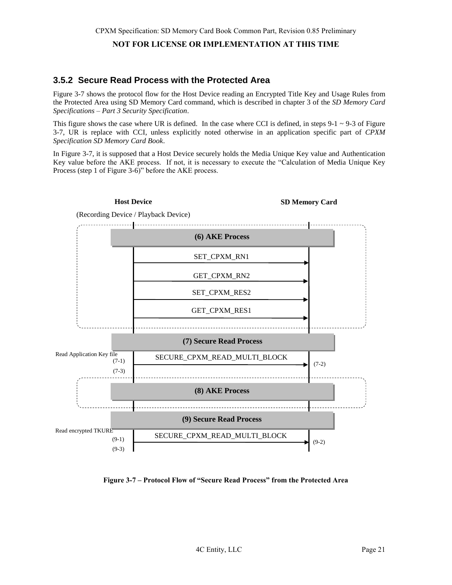### <span id="page-30-0"></span>**3.5.2 Secure Read Process with the Protected Area**

[Figure 3-7](#page-30-1) shows the protocol flow for the Host Device reading an Encrypted Title Key and Usage Rules from the Protected Area using SD Memory Card command, which is described in chapter 3 of the *SD Memory Card Specifications – Part 3 Security Specification*.

This figure shows the case where UR is defined. In the case where CCI is defined, in steps  $9-1 \sim 9-3$  of Figure [3-7,](#page-30-1) UR is replace with CCI, unless explicitly noted otherwise in an application specific part of *CPXM Specification SD Memory Card Book*.

In [Figure 3-7,](#page-30-1) it is supposed that a Host Device securely holds the Media Unique Key value and Authentication Key value before the AKE process. If not, it is necessary to execute the "Calculation of Media Unique Key Process (step 1 of [Figure 3-6\)](#page-27-1)" before the AKE process.



<span id="page-30-1"></span>**Figure 3-7 – Protocol Flow of "Secure Read Process" from the Protected Area**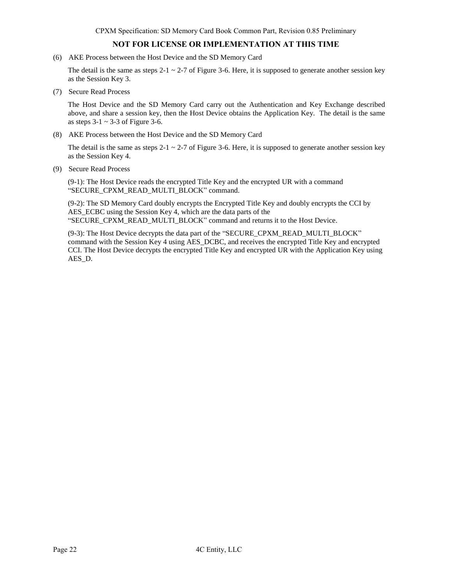(6) AKE Process between the Host Device and the SD Memory Card

The detail is the same as steps  $2-1 \sim 2-7$  of [Figure 3-6.](#page-27-1) Here, it is supposed to generate another session key as the Session Key 3.

(7) Secure Read Process

The Host Device and the SD Memory Card carry out the Authentication and Key Exchange described above, and share a session key, then the Host Device obtains the Application Key. The detail is the same as steps  $3-1 \sim 3-3$  o[f Figure 3-6.](#page-27-1)

(8) AKE Process between the Host Device and the SD Memory Card

The detail is the same as steps  $2-1 \sim 2-7$  of [Figure 3-6.](#page-27-1) Here, it is supposed to generate another session key as the Session Key 4.

(9) Secure Read Process

(9-1): The Host Device reads the encrypted Title Key and the encrypted UR with a command "SECURE\_CPXM\_READ\_MULTI\_BLOCK" command.

(9-2): The SD Memory Card doubly encrypts the Encrypted Title Key and doubly encrypts the CCI by AES ECBC using the Session Key 4, which are the data parts of the "SECURE\_CPXM\_READ\_MULTI\_BLOCK" command and returns it to the Host Device.

(9-3): The Host Device decrypts the data part of the "SECURE\_CPXM\_READ\_MULTI\_BLOCK" command with the Session Key 4 using AES\_DCBC, and receives the encrypted Title Key and encrypted CCI. The Host Device decrypts the encrypted Title Key and encrypted UR with the Application Key using AES\_D.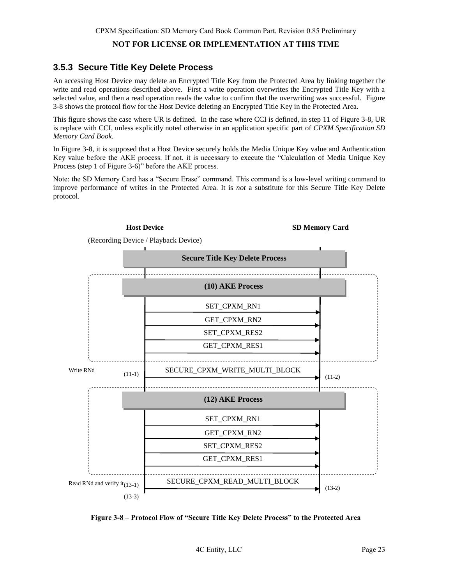## <span id="page-32-0"></span>**3.5.3 Secure Title Key Delete Process**

An accessing Host Device may delete an Encrypted Title Key from the Protected Area by linking together the write and read operations described above. First a write operation overwrites the Encrypted Title Key with a selected value, and then a read operation reads the value to confirm that the overwriting was successful. [Figure](#page-32-1)  [3-8](#page-32-1) shows the protocol flow for the Host Device deleting an Encrypted Title Key in the Protected Area.

This figure shows the case where UR is defined. In the case where CCI is defined, in step 11 of [Figure 3-8,](#page-32-1) UR is replace with CCI, unless explicitly noted otherwise in an application specific part of *CPXM Specification SD Memory Card Book*.

In [Figure 3-8,](#page-32-1) it is supposed that a Host Device securely holds the Media Unique Key value and Authentication Key value before the AKE process. If not, it is necessary to execute the "Calculation of Media Unique Key Process (step 1 of [Figure 3-6\)](#page-27-1)" before the AKE process.

Note: the SD Memory Card has a "Secure Erase" command. This command is a low-level writing command to improve performance of writes in the Protected Area. It is *not* a substitute for this Secure Title Key Delete protocol.



<span id="page-32-1"></span>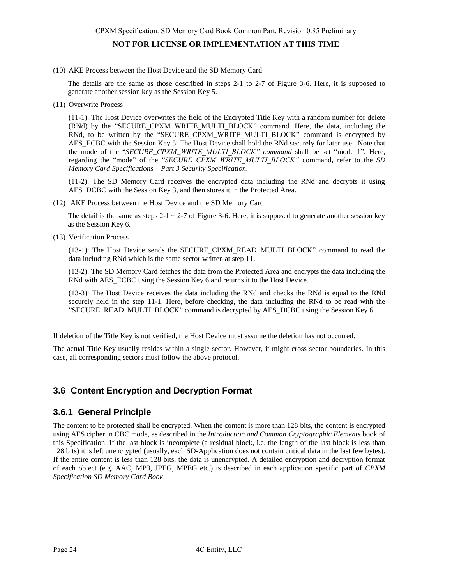(10) AKE Process between the Host Device and the SD Memory Card

The details are the same as those described in steps 2-1 to 2-7 of [Figure 3-6.](#page-27-1) Here, it is supposed to generate another session key as the Session Key 5.

(11) Overwrite Process

(11-1): The Host Device overwrites the field of the Encrypted Title Key with a random number for delete (RNd) by the "SECURE CPXM\_WRITE\_MULTI\_BLOCK" command. Here, the data, including the RNd, to be written by the "SECURE CPXM\_WRITE\_MULTI\_BLOCK" command is encrypted by AES\_ECBC with the Session Key 5. The Host Device shall hold the RNd securely for later use. Note that the mode of the "*SECURE\_CPXM\_WRITE\_MULTI\_BLOCK" command* shall be set "mode 1"*.* Here, regarding the "mode" of the "*SECURE\_CPXM\_WRITE\_MULTI\_BLOCK"* command, refer to the *SD Memory Card Specifications – Part 3 Security Specification*.

(11-2): The SD Memory Card receives the encrypted data including the RNd and decrypts it using AES\_DCBC with the Session Key 3, and then stores it in the Protected Area.

(12) AKE Process between the Host Device and the SD Memory Card

The detail is the same as steps  $2-1 \sim 2-7$  of [Figure 3-6.](#page-27-1) Here, it is supposed to generate another session key as the Session Key 6.

(13) Verification Process

(13-1): The Host Device sends the SECURE\_CPXM\_READ\_MULTI\_BLOCK" command to read the data including RNd which is the same sector written at step 11.

(13-2): The SD Memory Card fetches the data from the Protected Area and encrypts the data including the RNd with AES\_ECBC using the Session Key 6 and returns it to the Host Device.

(13-3): The Host Device receives the data including the RNd and checks the RNd is equal to the RNd securely held in the step 11-1. Here, before checking, the data including the RNd to be read with the "SECURE\_READ\_MULTI\_BLOCK" command is decrypted by AES\_DCBC using the Session Key 6.

If deletion of the Title Key is not verified, the Host Device must assume the deletion has not occurred.

The actual Title Key usually resides within a single sector. However, it might cross sector boundaries. In this case, all corresponding sectors must follow the above protocol.

## <span id="page-33-0"></span>**3.6 Content Encryption and Decryption Format**

#### <span id="page-33-1"></span>**3.6.1 General Principle**

The content to be protected shall be encrypted. When the content is more than 128 bits, the content is encrypted using AES cipher in CBC mode, as described in the *Introduction and Common Cryptographic Elements* book of this Specification. If the last block is incomplete (a residual block, i.e. the length of the last block is less than 128 bits) it is left unencrypted (usually, each SD-Application does not contain critical data in the last few bytes). If the entire content is less than 128 bits, the data is unencrypted. A detailed encryption and decryption format of each object (e.g. AAC, MP3, JPEG, MPEG etc.) is described in each application specific part of *CPXM Specification SD Memory Card Book*.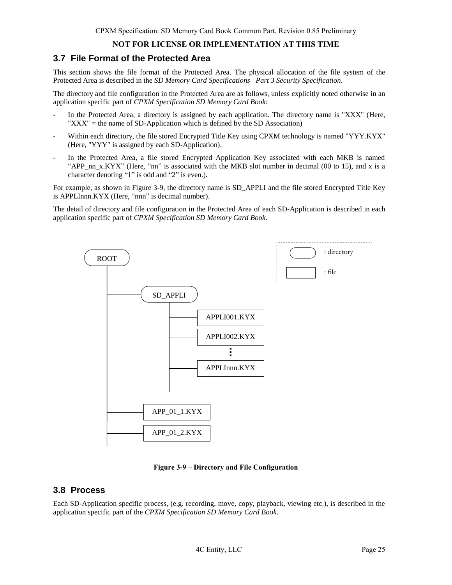#### <span id="page-34-0"></span>**3.7 File Format of the Protected Area**

This section shows the file format of the Protected Area. The physical allocation of the file system of the Protected Area is described in the *SD Memory Card Specifications –Part 3 Security Specification*.

The directory and file configuration in the Protected Area are as follows, unless explicitly noted otherwise in an application specific part of *CPXM Specification SD Memory Card Book*:

- In the Protected Area, a directory is assigned by each application. The directory name is "XXX" (Here, " $\text{XXX}$ " = the name of SD-Application which is defined by the SD Association)
- Within each directory, the file stored Encrypted Title Key using CPXM technology is named "YYY.KYX" (Here, "YYY" is assigned by each SD-Application).
- In the Protected Area, a file stored Encrypted Application Key associated with each MKB is named "APP\_nn\_x.KYX" (Here, "nn" is associated with the MKB slot number in decimal (00 to 15), and x is a character denoting "1" is odd and "2" is even.).

For example, as shown in [Figure 3-9,](#page-34-2) the directory name is SD\_APPLI and the file stored Encrypted Title Key is APPLInnn.KYX (Here, "nnn" is decimal number).

The detail of directory and file configuration in the Protected Area of each SD-Application is described in each application specific part of *CPXM Specification SD Memory Card Book*.



**Figure 3-9 – Directory and File Configuration**

#### <span id="page-34-2"></span><span id="page-34-1"></span>**3.8 Process**

Each SD-Application specific process, (e.g. recording, move, copy, playback, viewing etc.), is described in the application specific part of the *CPXM Specification SD Memory Card Book*.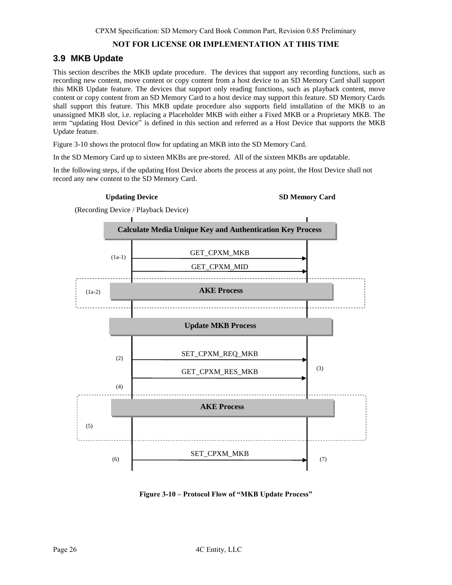#### <span id="page-35-0"></span>**3.9 MKB Update**

This section describes the MKB update procedure. The devices that support any recording functions, such as recording new content, move content or copy content from a host device to an SD Memory Card shall support this MKB Update feature. The devices that support only reading functions, such as playback content, move content or copy content from an SD Memory Card to a host device may support this feature. SD Memory Cards shall support this feature. This MKB update procedure also supports field installation of the MKB to an unassigned MKB slot, i.e. replacing a Placeholder MKB with either a Fixed MKB or a Proprietary MKB. The term "updating Host Device" is defined in this section and referred as a Host Device that supports the MKB Update feature.

[Figure 3-10](#page-35-1) shows the protocol flow for updating an MKB into the SD Memory Card.

In the SD Memory Card up to sixteen MKBs are pre-stored. All of the sixteen MKBs are updatable.

In the following steps, if the updating Host Device aborts the process at any point, the Host Device shall not record any new content to the SD Memory Card.

#### **Updating Device**

#### **SD Memory Card**

(Recording Device / Playback Device)



<span id="page-35-1"></span>**Figure 3-10 – Protocol Flow of "MKB Update Process"**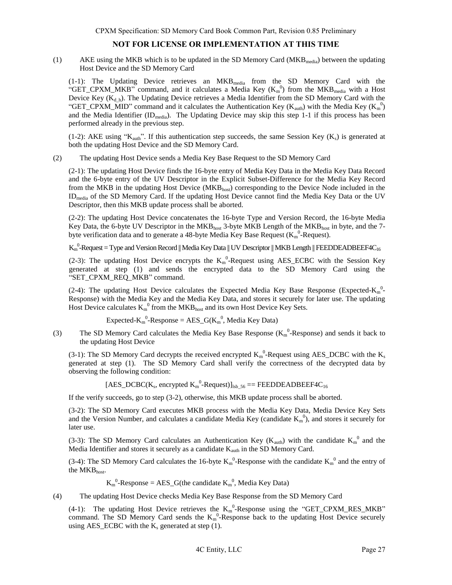(1) AKE using the MKB which is to be updated in the SD Memory Card  $(MKB_{median})$  between the updating Host Device and the SD Memory Card

(1-1): The Updating Device retrieves an MKB<sub>media</sub> from the SD Memory Card with the "GET\_CPXM\_MKB" command, and it calculates a Media Key  $(K_m^0)$  from the MKB<sub>media</sub> with a Host Device Key ( $K_{d,h}$ ). The Updating Device retrieves a Media Identifier from the SD Memory Card with the "GET\_CPXM\_MID" command and it calculates the Authentication Key ( $K_{\text{auth}}$ ) with the Media Key ( $K_m^0$ ) and the Media Identifier (ID<sub>media</sub>). The Updating Device may skip this step 1-1 if this process has been performed already in the previous step.

(1-2): AKE using " $K_{\text{auth}}$ ". If this authentication step succeeds, the same Session Key ( $K_s$ ) is generated at both the updating Host Device and the SD Memory Card.

(2) The updating Host Device sends a Media Key Base Request to the SD Memory Card

(2-1): The updating Host Device finds the 16-byte entry of Media Key Data in the Media Key Data Record and the 6-byte entry of the UV Descriptor in the Explicit Subset-Difference for the Media Key Record from the MKB in the updating Host Device (MKB<sub>host</sub>) corresponding to the Device Node included in the IDmedia of the SD Memory Card. If the updating Host Device cannot find the Media Key Data or the UV Descriptor, then this MKB update process shall be aborted.

(2-2): The updating Host Device concatenates the 16-byte Type and Version Record, the 16-byte Media Key Data, the 6-byte UV Descriptor in the  $MKB<sub>host</sub>$  3-byte MKB Length of the  $MKB<sub>host</sub>$  in byte, and the 7byte verification data and to generate a 48-byte Media Key Base Request ( $K_m^0$ -Request).

K<sub>m</sub><sup>0</sup>-Request = Type and Version Record || Media Key Data || UV Descriptor || MKB Length || FEEDDEADBEEF4C<sub>16</sub>

(2-3): The updating Host Device encrypts the  $K_m^0$ -Request using AES\_ECBC with the Session Key generated at step (1) and sends the encrypted data to the SD Memory Card using the "SET\_CPXM\_REQ\_MKB" command.

(2-4): The updating Host Device calculates the Expected Media Key Base Response (Expected- $K_m^0$ -Response) with the Media Key and the Media Key Data, and stores it securely for later use. The updating Host Device calculates  $K_m^0$  from the MKB<sub>host</sub> and its own Host Device Key Sets.

Expected- $K_m^0$ -Response = AES\_G( $K_m^0$ , Media Key Data)

(3) The SD Memory Card calculates the Media Key Base Response ( $K_m^0$ -Response) and sends it back to the updating Host Device

(3-1): The SD Memory Card decrypts the received encrypted  $K_m^0$ -Request using AES\_DCBC with the  $K_s$ generated at step (1). The SD Memory Card shall verify the correctness of the decrypted data by observing the following condition:

[AES\_DCBC(K<sub>s</sub>, encrypted  $K_m^0$ -Request)]<sub>lsb\_56</sub> == FEEDDEADBEEF4C<sub>16</sub>

If the verify succeeds, go to step (3-2), otherwise, this MKB update process shall be aborted.

(3-2): The SD Memory Card executes MKB process with the Media Key Data, Media Device Key Sets and the Version Number, and calculates a candidate Media Key (candidate  $K_m^0$ ), and stores it securely for later use.

(3-3): The SD Memory Card calculates an Authentication Key ( $K_{\text{auth}}$ ) with the candidate  $K_{\text{m}}^{0}$  and the Media Identifier and stores it securely as a candidate  $K_{\text{auth}}$  in the SD Memory Card.

(3-4): The SD Memory Card calculates the 16-byte  $K_m^0$ -Response with the candidate  $K_m^0$  and the entry of the MKB<sub>host</sub>.

 $K_m^0$ -Response = AES\_G(the candidate  $K_m^0$ , Media Key Data)

(4) The updating Host Device checks Media Key Base Response from the SD Memory Card

(4-1): The updating Host Device retrieves the  $K_m^0$ -Response using the "GET\_CPXM\_RES\_MKB" command. The SD Memory Card sends the  $K_m^0$ -Response back to the updating Host Device securely using AES\_ECBC with the  $K<sub>s</sub>$  generated at step (1).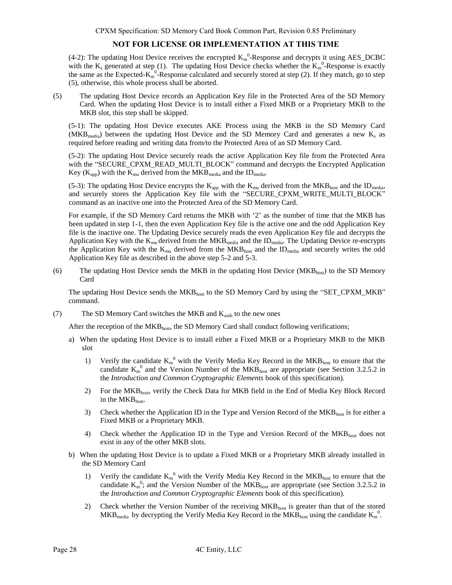(4-2): The updating Host Device receives the encrypted  $K_m^0$ -Response and decrypts it using AES\_DCBC with the  $K_s$  generated at step (1). The updating Host Device checks whether the  $K_m^0$ -Response is exactly the same as the Expected- $K_m^0$ -Response calculated and securely stored at step (2). If they match, go to step (5), otherwise, this whole process shall be aborted.

(5) The updating Host Device records an Application Key file in the Protected Area of the SD Memory Card. When the updating Host Device is to install either a Fixed MKB or a Proprietary MKB to the MKB slot, this step shall be skipped.

(5-1): The updating Host Device executes AKE Process using the MKB in the SD Memory Card (MKB<sub>media</sub>) between the updating Host Device and the SD Memory Card and generates a new  $K_s$  as required before reading and writing data from/to the Protected Area of an SD Memory Card.

(5-2): The updating Host Device securely reads the active Application Key file from the Protected Area with the "SECURE\_CPXM\_READ\_MULTI\_BLOCK" command and decrypts the Encrypted Application Key ( $K_{app}$ ) with the  $K_{mu}$  derived from the  $MKB_{median}$  and the ID<sub>media</sub>.

(5-3): The updating Host Device encrypts the  $K_{app}$  with the  $K_{mu}$  derived from the  $MKB_{host}$  and the ID<sub>media</sub>, and securely stores the Application Key file with the "SECURE\_CPXM\_WRITE\_MULTI\_BLOCK" command as an inactive one into the Protected Area of the SD Memory Card.

For example, if the SD Memory Card returns the MKB with '2' as the number of time that the MKB has been updated in step 1-1, then the even Application Key file is the active one and the odd Application Key file is the inactive one. The Updating Device securely reads the even Application Key file and decrypts the Application Key with the  $K_{mu}$  derived from the  $MKB_{median}$  and the ID<sub>media</sub>. The Updating Device re-encrypts the Application Key with the  $K_{mu}$  derived from the  $MKB_{host}$  and the ID<sub>media</sub> and securely writes the odd Application Key file as described in the above step 5-2 and 5-3.

(6) The updating Host Device sends the MKB in the updating Host Device  $(MKB<sub>host</sub>)$  to the SD Memory Card

The updating Host Device sends the MKB<sub>host</sub> to the SD Memory Card by using the "SET\_CPXM\_MKB" command.

(7) The SD Memory Card switches the MKB and  $K_{\text{auth}}$  to the new ones

After the reception of the  $MKB<sub>host</sub>$ , the SD Memory Card shall conduct following verifications;

- a) When the updating Host Device is to install either a Fixed MKB or a Proprietary MKB to the MKB slot
	- 1) Verify the candidate  $K_m^0$  with the Verify Media Key Record in the MKB<sub>host</sub> to ensure that the candidate  $K_m^0$  and the Version Number of the MKB<sub>host</sub> are appropriate (see Section 3.2.5.2 in the *Introduction and Common Cryptographic Elements* book of this specification).
	- 2) For the MKB<sub>host</sub>, verify the Check Data for MKB field in the End of Media Key Block Record in the  $MKB<sub>host</sub>$ .
	- 3) Check whether the Application ID in the Type and Version Record of the  $MKB<sub>host</sub>$  is for either a Fixed MKB or a Proprietary MKB.
	- 4) Check whether the Application ID in the Type and Version Record of the MKB<sub>host</sub> does not exist in any of the other MKB slots.
- b) When the updating Host Device is to update a Fixed MKB or a Proprietary MKB already installed in the SD Memory Card
	- 1) Verify the candidate  $K_m^0$  with the Verify Media Key Record in the MKB<sub>host</sub> to ensure that the candidate  $K_m^0$ ; and the Version Number of the  $MKB_{host}$  are appropriate (see Section 3.2.5.2 in the *Introduction and Common Cryptographic Elements* book of this specification).
	- 2) Check whether the Version Number of the receiving MKB<sub>host</sub> is greater than that of the stored MKB<sub>media</sub> by decrypting the Verify Media Key Record in the MKB<sub>host</sub> using the candidate  $K_m^0$ .